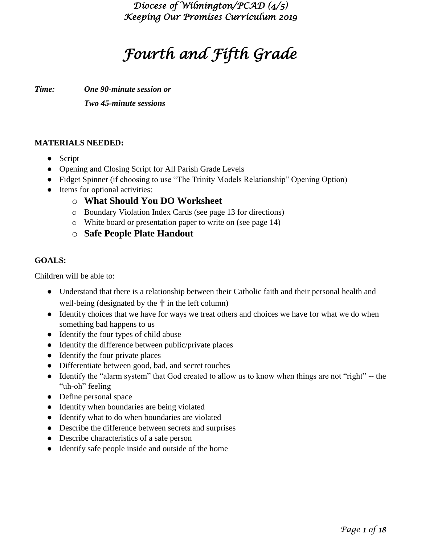# *Fourth and Fifth Grade*

*Time: One 90-minute session or*

*Two 45-minute sessions*

#### **MATERIALS NEEDED:**

- Script
- Opening and Closing Script for All Parish Grade Levels
- Fidget Spinner (if choosing to use "The Trinity Models Relationship" Opening Option)
- Items for optional activities:
	- o **What Should You DO Worksheet**
	- o Boundary Violation Index Cards (see page 13 for directions)
	- o White board or presentation paper to write on (see page 14)
	- o **Safe People Plate Handout**

#### **GOALS:**

Children will be able to:

- Understand that there is a relationship between their Catholic faith and their personal health and well-being (designated by the  $\uparrow$  in the left column)
- Identify choices that we have for ways we treat others and choices we have for what we do when something bad happens to us
- Identify the four types of child abuse
- Identify the difference between public/private places
- Identify the four private places
- Differentiate between good, bad, and secret touches
- Identify the "alarm system" that God created to allow us to know when things are not "right" -- the "uh-oh" feeling
- Define personal space
- Identify when boundaries are being violated
- Identify what to do when boundaries are violated
- Describe the difference between secrets and surprises
- Describe characteristics of a safe person
- Identify safe people inside and outside of the home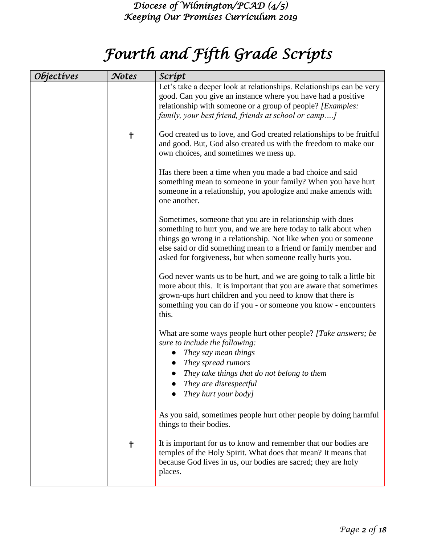# *Fourth and Fifth Grade Scripts*

| <i><b>Objectives</b></i> | Notes     | Script                                                                                                                                                                                                                                                                                                                           |
|--------------------------|-----------|----------------------------------------------------------------------------------------------------------------------------------------------------------------------------------------------------------------------------------------------------------------------------------------------------------------------------------|
|                          |           | Let's take a deeper look at relationships. Relationships can be very<br>good. Can you give an instance where you have had a positive<br>relationship with someone or a group of people? [Examples:<br>family, your best friend, friends at school or camp]                                                                       |
|                          | $\dagger$ | God created us to love, and God created relationships to be fruitful<br>and good. But, God also created us with the freedom to make our<br>own choices, and sometimes we mess up.                                                                                                                                                |
|                          |           | Has there been a time when you made a bad choice and said<br>something mean to someone in your family? When you have hurt<br>someone in a relationship, you apologize and make amends with<br>one another.                                                                                                                       |
|                          |           | Sometimes, someone that you are in relationship with does<br>something to hurt you, and we are here today to talk about when<br>things go wrong in a relationship. Not like when you or someone<br>else said or did something mean to a friend or family member and<br>asked for forgiveness, but when someone really hurts you. |
|                          |           | God never wants us to be hurt, and we are going to talk a little bit<br>more about this. It is important that you are aware that sometimes<br>grown-ups hurt children and you need to know that there is<br>something you can do if you - or someone you know - encounters<br>this.                                              |
|                          |           | What are some ways people hurt other people? [Take answers; be<br>sure to include the following:<br>They say mean things<br>They spread rumors<br>They take things that do not belong to them<br>$\bullet$                                                                                                                       |
|                          |           | They are disrespectful<br>They hurt your body]                                                                                                                                                                                                                                                                                   |
|                          |           | As you said, sometimes people hurt other people by doing harmful<br>things to their bodies.                                                                                                                                                                                                                                      |
|                          | ╋         | It is important for us to know and remember that our bodies are<br>temples of the Holy Spirit. What does that mean? It means that<br>because God lives in us, our bodies are sacred; they are holy<br>places.                                                                                                                    |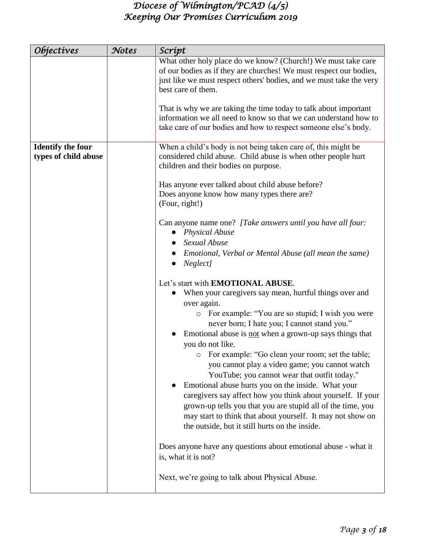| <i><b>Objectives</b></i>                         | Notes | Scrípt                                                                                                                                                                                                                                                                                                                                                                                                                                                                                                                                                                                                                                                                                                                                                            |
|--------------------------------------------------|-------|-------------------------------------------------------------------------------------------------------------------------------------------------------------------------------------------------------------------------------------------------------------------------------------------------------------------------------------------------------------------------------------------------------------------------------------------------------------------------------------------------------------------------------------------------------------------------------------------------------------------------------------------------------------------------------------------------------------------------------------------------------------------|
|                                                  |       | What other holy place do we know? (Church!) We must take care<br>of our bodies as if they are churches! We must respect our bodies,<br>just like we must respect others' bodies, and we must take the very<br>best care of them.                                                                                                                                                                                                                                                                                                                                                                                                                                                                                                                                  |
|                                                  |       | That is why we are taking the time today to talk about important<br>information we all need to know so that we can understand how to<br>take care of our bodies and how to respect someone else's body.                                                                                                                                                                                                                                                                                                                                                                                                                                                                                                                                                           |
| <b>Identify the four</b><br>types of child abuse |       | When a child's body is not being taken care of, this might be<br>considered child abuse. Child abuse is when other people hurt<br>children and their bodies on purpose.                                                                                                                                                                                                                                                                                                                                                                                                                                                                                                                                                                                           |
|                                                  |       | Has anyone ever talked about child abuse before?<br>Does anyone know how many types there are?<br>(Four, right!)                                                                                                                                                                                                                                                                                                                                                                                                                                                                                                                                                                                                                                                  |
|                                                  |       | Can anyone name one? [Take answers until you have all four:<br><b>Physical Abuse</b><br>$\bullet$<br>Sexual Abuse<br>Emotional, Verbal or Mental Abuse (all mean the same)<br>Neglect]                                                                                                                                                                                                                                                                                                                                                                                                                                                                                                                                                                            |
|                                                  |       | Let's start with <b>EMOTIONAL ABUSE</b> .<br>When your caregivers say mean, hurtful things over and<br>over again.<br>o For example: "You are so stupid; I wish you were<br>never born; I hate you; I cannot stand you."<br>Emotional abuse is not when a grown-up says things that<br>you do not like.<br>For example: "Go clean your room; set the table;<br>you cannot play a video game; you cannot watch<br>YouTube; you cannot wear that outfit today."<br>Emotional abuse hurts you on the inside. What your<br>caregivers say affect how you think about yourself. If your<br>grown-up tells you that you are stupid all of the time, you<br>may start to think that about yourself. It may not show on<br>the outside, but it still hurts on the inside. |
|                                                  |       | Does anyone have any questions about emotional abuse - what it<br>is, what it is not?                                                                                                                                                                                                                                                                                                                                                                                                                                                                                                                                                                                                                                                                             |
|                                                  |       | Next, we're going to talk about Physical Abuse.                                                                                                                                                                                                                                                                                                                                                                                                                                                                                                                                                                                                                                                                                                                   |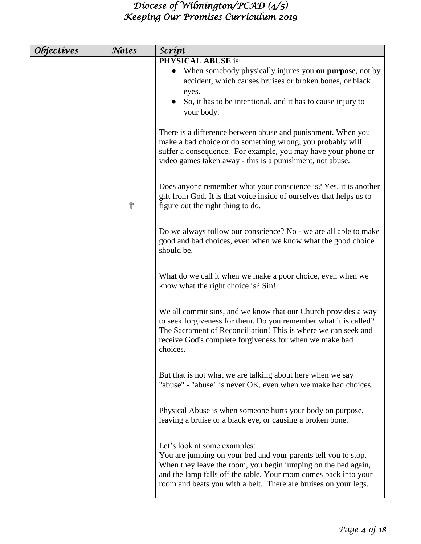| <i><b>Objectives</b></i> | Notes | Scrípt                                                               |
|--------------------------|-------|----------------------------------------------------------------------|
|                          |       | <b>PHYSICAL ABUSE is:</b>                                            |
|                          |       | When somebody physically injures you <b>on purpose</b> , not by      |
|                          |       | accident, which causes bruises or broken bones, or black             |
|                          |       | eyes.                                                                |
|                          |       | So, it has to be intentional, and it has to cause injury to          |
|                          |       | your body.                                                           |
|                          |       |                                                                      |
|                          |       | There is a difference between abuse and punishment. When you         |
|                          |       | make a bad choice or do something wrong, you probably will           |
|                          |       | suffer a consequence. For example, you may have your phone or        |
|                          |       | video games taken away - this is a punishment, not abuse.            |
|                          |       |                                                                      |
|                          |       | Does anyone remember what your conscience is? Yes, it is another     |
|                          |       | gift from God. It is that voice inside of ourselves that helps us to |
|                          | ╋     | figure out the right thing to do.                                    |
|                          |       |                                                                      |
|                          |       | Do we always follow our conscience? No - we are all able to make     |
|                          |       | good and bad choices, even when we know what the good choice         |
|                          |       | should be.                                                           |
|                          |       |                                                                      |
|                          |       | What do we call it when we make a poor choice, even when we          |
|                          |       | know what the right choice is? Sin!                                  |
|                          |       |                                                                      |
|                          |       | We all commit sins, and we know that our Church provides a way       |
|                          |       | to seek forgiveness for them. Do you remember what it is called?     |
|                          |       | The Sacrament of Reconciliation! This is where we can seek and       |
|                          |       | receive God's complete forgiveness for when we make bad              |
|                          |       | choices.                                                             |
|                          |       |                                                                      |
|                          |       | But that is not what we are talking about here when we say           |
|                          |       | "abuse" - "abuse" is never OK, even when we make bad choices.        |
|                          |       |                                                                      |
|                          |       | Physical Abuse is when someone hurts your body on purpose,           |
|                          |       | leaving a bruise or a black eye, or causing a broken bone.           |
|                          |       |                                                                      |
|                          |       | Let's look at some examples:                                         |
|                          |       | You are jumping on your bed and your parents tell you to stop.       |
|                          |       | When they leave the room, you begin jumping on the bed again,        |
|                          |       | and the lamp falls off the table. Your mom comes back into your      |
|                          |       | room and beats you with a belt. There are bruises on your legs.      |
|                          |       |                                                                      |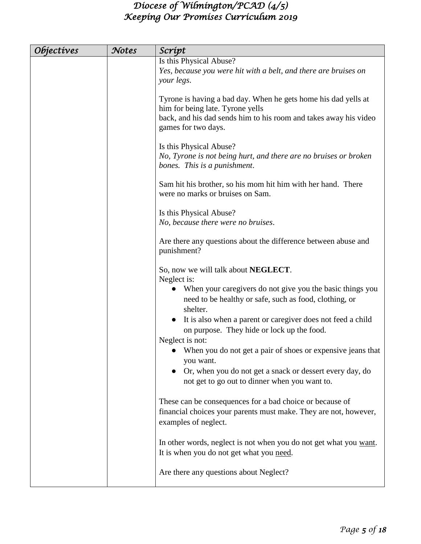| <i><b>Objectives</b></i> | Notes | Scrípt                                                                                                                                                                                                   |
|--------------------------|-------|----------------------------------------------------------------------------------------------------------------------------------------------------------------------------------------------------------|
|                          |       | Is this Physical Abuse?<br>Yes, because you were hit with a belt, and there are bruises on<br>your legs.                                                                                                 |
|                          |       | Tyrone is having a bad day. When he gets home his dad yells at<br>him for being late. Tyrone yells<br>back, and his dad sends him to his room and takes away his video<br>games for two days.            |
|                          |       | Is this Physical Abuse?<br>No, Tyrone is not being hurt, and there are no bruises or broken<br>bones. This is a punishment.                                                                              |
|                          |       | Sam hit his brother, so his mom hit him with her hand. There<br>were no marks or bruises on Sam.                                                                                                         |
|                          |       | Is this Physical Abuse?<br>No, because there were no bruises.                                                                                                                                            |
|                          |       | Are there any questions about the difference between abuse and<br>punishment?                                                                                                                            |
|                          |       | So, now we will talk about NEGLECT.<br>Neglect is:<br>• When your caregivers do not give you the basic things you<br>need to be healthy or safe, such as food, clothing, or<br>shelter.                  |
|                          |       | It is also when a parent or caregiver does not feed a child<br>on purpose. They hide or lock up the food.                                                                                                |
|                          |       | Neglect is not:<br>When you do not get a pair of shoes or expensive jeans that<br>you want.<br>Or, when you do not get a snack or dessert every day, do<br>not get to go out to dinner when you want to. |
|                          |       | These can be consequences for a bad choice or because of<br>financial choices your parents must make. They are not, however,<br>examples of neglect.                                                     |
|                          |       | In other words, neglect is not when you do not get what you want.<br>It is when you do not get what you need.                                                                                            |
|                          |       | Are there any questions about Neglect?                                                                                                                                                                   |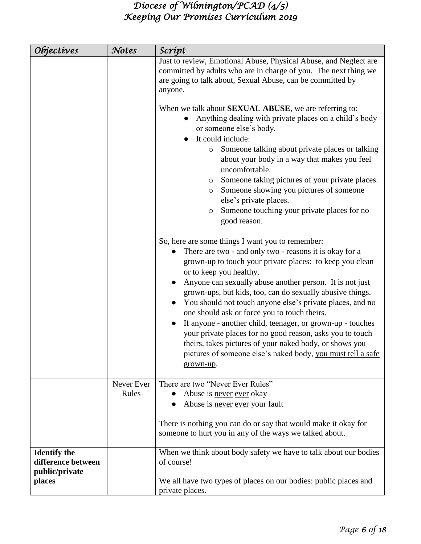| <i><b>Objectives</b></i>                                    | Notes               | Script                                                                                                                                                                                                                                                                                                                                                                                                                                                                                                                                                                                                                                                                                                                  |
|-------------------------------------------------------------|---------------------|-------------------------------------------------------------------------------------------------------------------------------------------------------------------------------------------------------------------------------------------------------------------------------------------------------------------------------------------------------------------------------------------------------------------------------------------------------------------------------------------------------------------------------------------------------------------------------------------------------------------------------------------------------------------------------------------------------------------------|
|                                                             |                     | Just to review, Emotional Abuse, Physical Abuse, and Neglect are<br>committed by adults who are in charge of you. The next thing we<br>are going to talk about, Sexual Abuse, can be committed by<br>anyone.                                                                                                                                                                                                                                                                                                                                                                                                                                                                                                            |
|                                                             |                     | When we talk about <b>SEXUAL ABUSE</b> , we are referring to:<br>Anything dealing with private places on a child's body<br>or someone else's body.<br>It could include:                                                                                                                                                                                                                                                                                                                                                                                                                                                                                                                                                 |
|                                                             |                     | Someone talking about private places or talking<br>$\circ$<br>about your body in a way that makes you feel<br>uncomfortable.                                                                                                                                                                                                                                                                                                                                                                                                                                                                                                                                                                                            |
|                                                             |                     | Someone taking pictures of your private places.<br>$\circ$<br>Someone showing you pictures of someone<br>$\circ$<br>else's private places.                                                                                                                                                                                                                                                                                                                                                                                                                                                                                                                                                                              |
|                                                             |                     | Someone touching your private places for no<br>$\circ$<br>good reason.                                                                                                                                                                                                                                                                                                                                                                                                                                                                                                                                                                                                                                                  |
|                                                             |                     | So, here are some things I want you to remember:<br>There are two - and only two - reasons it is okay for a<br>grown-up to touch your private places: to keep you clean<br>or to keep you healthy.<br>Anyone can sexually abuse another person. It is not just<br>$\bullet$<br>grown-ups, but kids, too, can do sexually abusive things.<br>You should not touch anyone else's private places, and no<br>one should ask or force you to touch theirs.<br>If anyone - another child, teenager, or grown-up - touches<br>your private places for no good reason, asks you to touch<br>theirs, takes pictures of your naked body, or shows you<br>pictures of someone else's naked body, you must tell a safe<br>grown-up. |
|                                                             | Never Ever<br>Rules | There are two "Never Ever Rules"<br>Abuse is never ever okay<br>$\bullet$                                                                                                                                                                                                                                                                                                                                                                                                                                                                                                                                                                                                                                               |
|                                                             |                     | Abuse is never ever your fault                                                                                                                                                                                                                                                                                                                                                                                                                                                                                                                                                                                                                                                                                          |
|                                                             |                     | There is nothing you can do or say that would make it okay for<br>someone to hurt you in any of the ways we talked about.                                                                                                                                                                                                                                                                                                                                                                                                                                                                                                                                                                                               |
| <b>Identify the</b><br>difference between<br>public/private |                     | When we think about body safety we have to talk about our bodies<br>of course!                                                                                                                                                                                                                                                                                                                                                                                                                                                                                                                                                                                                                                          |
| places                                                      |                     | We all have two types of places on our bodies: public places and<br>private places.                                                                                                                                                                                                                                                                                                                                                                                                                                                                                                                                                                                                                                     |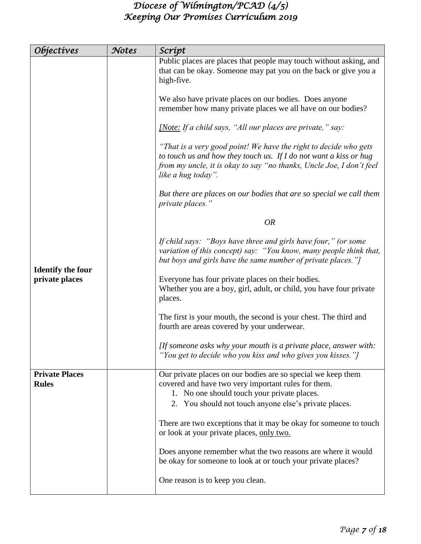| <i><b>Objectives</b></i>                   | Notes | Scrípt                                                                                                                                                                                                                              |
|--------------------------------------------|-------|-------------------------------------------------------------------------------------------------------------------------------------------------------------------------------------------------------------------------------------|
|                                            |       | Public places are places that people may touch without asking, and<br>that can be okay. Someone may pat you on the back or give you a<br>high-five.                                                                                 |
|                                            |       | We also have private places on our bodies. Does anyone<br>remember how many private places we all have on our bodies?                                                                                                               |
|                                            |       | [Note: If a child says, "All our places are private," say:                                                                                                                                                                          |
|                                            |       | "That is a very good point! We have the right to decide who gets<br>to touch us and how they touch us. If I do not want a kiss or hug<br>from my uncle, it is okay to say "no thanks, Uncle Joe, I don't feel<br>like a hug today". |
|                                            |       | But there are places on our bodies that are so special we call them<br>private places."                                                                                                                                             |
|                                            |       | <b>OR</b>                                                                                                                                                                                                                           |
|                                            |       | If child says: "Boys have three and girls have four," (or some<br>variation of this concept) say: "You know, many people think that,<br>but boys and girls have the same number of private places."]                                |
| <b>Identify the four</b><br>private places |       | Everyone has four private places on their bodies.<br>Whether you are a boy, girl, adult, or child, you have four private<br>places.                                                                                                 |
|                                            |       | The first is your mouth, the second is your chest. The third and<br>fourth are areas covered by your underwear.                                                                                                                     |
|                                            |       | [If someone asks why your mouth is a private place, answer with:<br>"You get to decide who you kiss and who gives you kisses."]                                                                                                     |
| <b>Private Places</b><br><b>Rules</b>      |       | Our private places on our bodies are so special we keep them<br>covered and have two very important rules for them.<br>1. No one should touch your private places.<br>2. You should not touch anyone else's private places.         |
|                                            |       | There are two exceptions that it may be okay for someone to touch<br>or look at your private places, only two.                                                                                                                      |
|                                            |       | Does anyone remember what the two reasons are where it would<br>be okay for someone to look at or touch your private places?                                                                                                        |
|                                            |       | One reason is to keep you clean.                                                                                                                                                                                                    |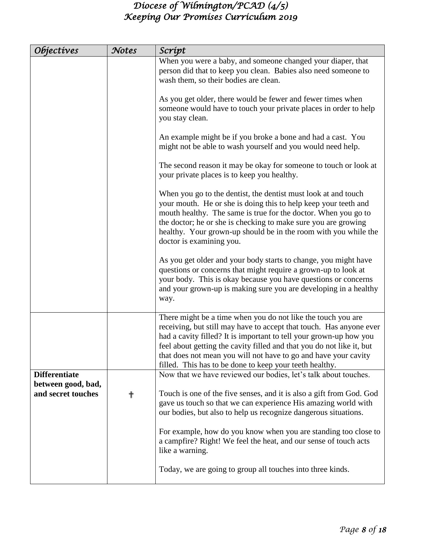| <i><b>Objectives</b></i> | Notes | Scrípt                                                                                                                                                                                                                                                                                                                                                                                                           |
|--------------------------|-------|------------------------------------------------------------------------------------------------------------------------------------------------------------------------------------------------------------------------------------------------------------------------------------------------------------------------------------------------------------------------------------------------------------------|
|                          |       | When you were a baby, and someone changed your diaper, that<br>person did that to keep you clean. Babies also need someone to                                                                                                                                                                                                                                                                                    |
|                          |       | wash them, so their bodies are clean.                                                                                                                                                                                                                                                                                                                                                                            |
|                          |       | As you get older, there would be fewer and fewer times when<br>someone would have to touch your private places in order to help<br>you stay clean.                                                                                                                                                                                                                                                               |
|                          |       | An example might be if you broke a bone and had a cast. You<br>might not be able to wash yourself and you would need help.                                                                                                                                                                                                                                                                                       |
|                          |       | The second reason it may be okay for someone to touch or look at<br>your private places is to keep you healthy.                                                                                                                                                                                                                                                                                                  |
|                          |       | When you go to the dentist, the dentist must look at and touch<br>your mouth. He or she is doing this to help keep your teeth and<br>mouth healthy. The same is true for the doctor. When you go to<br>the doctor; he or she is checking to make sure you are growing<br>healthy. Your grown-up should be in the room with you while the<br>doctor is examining you.                                             |
|                          |       | As you get older and your body starts to change, you might have<br>questions or concerns that might require a grown-up to look at<br>your body. This is okay because you have questions or concerns<br>and your grown-up is making sure you are developing in a healthy<br>way.                                                                                                                                  |
|                          |       | There might be a time when you do not like the touch you are<br>receiving, but still may have to accept that touch. Has anyone ever<br>had a cavity filled? It is important to tell your grown-up how you<br>feel about getting the cavity filled and that you do not like it, but<br>that does not mean you will not have to go and have your cavity<br>filled. This has to be done to keep your teeth healthy. |
| <b>Differentiate</b>     |       | Now that we have reviewed our bodies, let's talk about touches.                                                                                                                                                                                                                                                                                                                                                  |
| between good, bad,       |       |                                                                                                                                                                                                                                                                                                                                                                                                                  |
| and secret touches       | ╬     | Touch is one of the five senses, and it is also a gift from God. God<br>gave us touch so that we can experience His amazing world with<br>our bodies, but also to help us recognize dangerous situations.                                                                                                                                                                                                        |
|                          |       | For example, how do you know when you are standing too close to<br>a campfire? Right! We feel the heat, and our sense of touch acts<br>like a warning.                                                                                                                                                                                                                                                           |
|                          |       | Today, we are going to group all touches into three kinds.                                                                                                                                                                                                                                                                                                                                                       |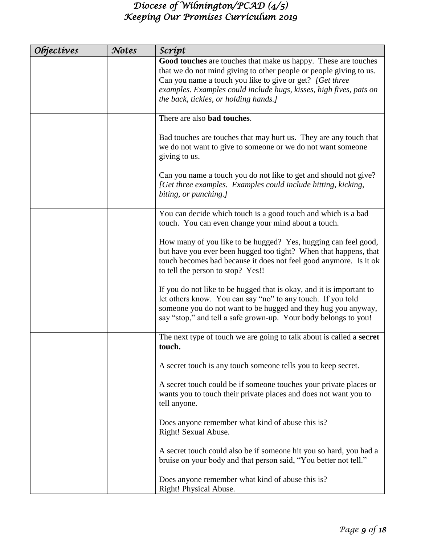| <i><b>Objectives</b></i> | Notes | Scrípt                                                                                                                                                                                                                                                                                                          |
|--------------------------|-------|-----------------------------------------------------------------------------------------------------------------------------------------------------------------------------------------------------------------------------------------------------------------------------------------------------------------|
|                          |       | Good touches are touches that make us happy. These are touches<br>that we do not mind giving to other people or people giving to us.<br>Can you name a touch you like to give or get? [Get three<br>examples. Examples could include hugs, kisses, high fives, pats on<br>the back, tickles, or holding hands.] |
|                          |       | There are also <b>bad touches</b> .                                                                                                                                                                                                                                                                             |
|                          |       | Bad touches are touches that may hurt us. They are any touch that<br>we do not want to give to someone or we do not want someone<br>giving to us.                                                                                                                                                               |
|                          |       | Can you name a touch you do not like to get and should not give?<br>[Get three examples. Examples could include hitting, kicking,<br>biting, or punching.]                                                                                                                                                      |
|                          |       | You can decide which touch is a good touch and which is a bad<br>touch. You can even change your mind about a touch.                                                                                                                                                                                            |
|                          |       | How many of you like to be hugged? Yes, hugging can feel good,<br>but have you ever been hugged too tight? When that happens, that<br>touch becomes bad because it does not feel good anymore. Is it ok<br>to tell the person to stop? Yes!!                                                                    |
|                          |       | If you do not like to be hugged that is okay, and it is important to<br>let others know. You can say "no" to any touch. If you told<br>someone you do not want to be hugged and they hug you anyway,<br>say "stop," and tell a safe grown-up. Your body belongs to you!                                         |
|                          |       | The next type of touch we are going to talk about is called a <b>secret</b><br>touch.                                                                                                                                                                                                                           |
|                          |       | A secret touch is any touch someone tells you to keep secret.                                                                                                                                                                                                                                                   |
|                          |       | A secret touch could be if someone touches your private places or<br>wants you to touch their private places and does not want you to<br>tell anyone.                                                                                                                                                           |
|                          |       | Does anyone remember what kind of abuse this is?<br>Right! Sexual Abuse.                                                                                                                                                                                                                                        |
|                          |       | A secret touch could also be if someone hit you so hard, you had a<br>bruise on your body and that person said, "You better not tell."                                                                                                                                                                          |
|                          |       | Does anyone remember what kind of abuse this is?<br>Right! Physical Abuse.                                                                                                                                                                                                                                      |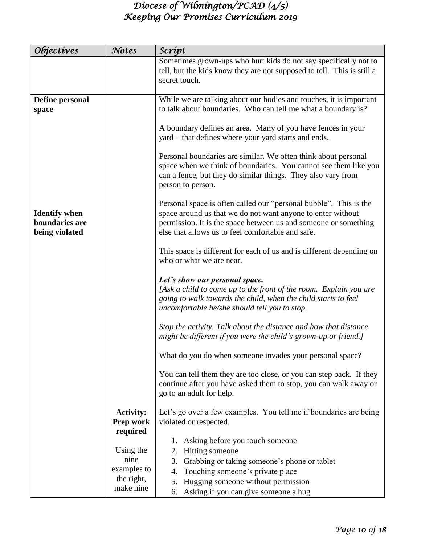| <i><b>Objectives</b></i>                                 | Notes                                                      | Scrípt                                                                                                                                                                                                                                                   |
|----------------------------------------------------------|------------------------------------------------------------|----------------------------------------------------------------------------------------------------------------------------------------------------------------------------------------------------------------------------------------------------------|
|                                                          |                                                            | Sometimes grown-ups who hurt kids do not say specifically not to<br>tell, but the kids know they are not supposed to tell. This is still a<br>secret touch.                                                                                              |
| Define personal<br>space                                 |                                                            | While we are talking about our bodies and touches, it is important<br>to talk about boundaries. Who can tell me what a boundary is?                                                                                                                      |
|                                                          |                                                            | A boundary defines an area. Many of you have fences in your<br>yard – that defines where your yard starts and ends.                                                                                                                                      |
|                                                          |                                                            | Personal boundaries are similar. We often think about personal<br>space when we think of boundaries. You cannot see them like you<br>can a fence, but they do similar things. They also vary from<br>person to person.                                   |
| <b>Identify</b> when<br>boundaries are<br>being violated |                                                            | Personal space is often called our "personal bubble". This is the<br>space around us that we do not want anyone to enter without<br>permission. It is the space between us and someone or something<br>else that allows us to feel comfortable and safe. |
|                                                          |                                                            | This space is different for each of us and is different depending on<br>who or what we are near.                                                                                                                                                         |
|                                                          |                                                            | Let's show our personal space.<br>[Ask a child to come up to the front of the room. Explain you are<br>going to walk towards the child, when the child starts to feel<br>uncomfortable he/she should tell you to stop.                                   |
|                                                          |                                                            | Stop the activity. Talk about the distance and how that distance<br>might be different if you were the child's grown-up or friend.]                                                                                                                      |
|                                                          |                                                            | What do you do when someone invades your personal space?                                                                                                                                                                                                 |
|                                                          |                                                            | You can tell them they are too close, or you can step back. If they<br>continue after you have asked them to stop, you can walk away or<br>go to an adult for help.                                                                                      |
|                                                          | <b>Activity:</b><br>Prep work                              | Let's go over a few examples. You tell me if boundaries are being<br>violated or respected.                                                                                                                                                              |
|                                                          | required<br>Using the<br>nine<br>examples to<br>the right, | Asking before you touch someone<br>1.<br>2.<br>Hitting someone<br>3.<br>Grabbing or taking someone's phone or tablet<br>Touching someone's private place<br>4.<br>Hugging someone without permission<br>5.                                               |
|                                                          | make nine                                                  | Asking if you can give someone a hug<br>6.                                                                                                                                                                                                               |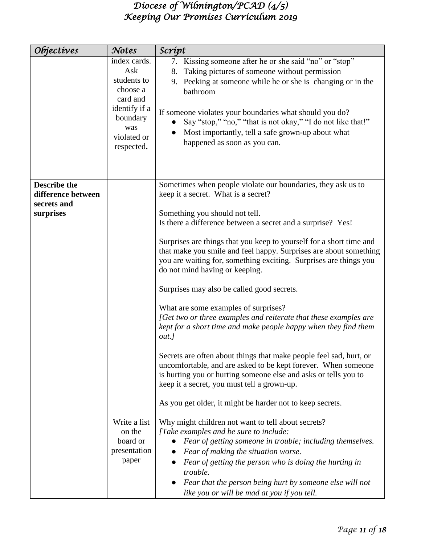| Objectives                                                            | Notes                                                                                                                       | Scrípt                                                                                                                                                                                                                                                                                                                                                                                                                                                                                                                                                                                                                                                                                                  |
|-----------------------------------------------------------------------|-----------------------------------------------------------------------------------------------------------------------------|---------------------------------------------------------------------------------------------------------------------------------------------------------------------------------------------------------------------------------------------------------------------------------------------------------------------------------------------------------------------------------------------------------------------------------------------------------------------------------------------------------------------------------------------------------------------------------------------------------------------------------------------------------------------------------------------------------|
|                                                                       | index cards.<br>Ask<br>students to<br>choose a<br>card and<br>identify if a<br>boundary<br>was<br>violated or<br>respected. | 7. Kissing someone after he or she said "no" or "stop"<br>Taking pictures of someone without permission<br>8.<br>9. Peeking at someone while he or she is changing or in the<br>bathroom<br>If someone violates your boundaries what should you do?<br>Say "stop," "no," "that is not okay," "I do not like that!"<br>$\bullet$<br>Most importantly, tell a safe grown-up about what<br>happened as soon as you can.                                                                                                                                                                                                                                                                                    |
| <b>Describe the</b><br>difference between<br>secrets and<br>surprises |                                                                                                                             | Sometimes when people violate our boundaries, they ask us to<br>keep it a secret. What is a secret?<br>Something you should not tell.<br>Is there a difference between a secret and a surprise? Yes!<br>Surprises are things that you keep to yourself for a short time and<br>that make you smile and feel happy. Surprises are about something<br>you are waiting for, something exciting. Surprises are things you<br>do not mind having or keeping.<br>Surprises may also be called good secrets.<br>What are some examples of surprises?<br>[Get two or three examples and reiterate that these examples are<br>kept for a short time and make people happy when they find them<br>$out.$ ]        |
|                                                                       | Write a list<br>on the<br>board or<br>presentation<br>paper                                                                 | Secrets are often about things that make people feel sad, hurt, or<br>uncomfortable, and are asked to be kept forever. When someone<br>is hurting you or hurting someone else and asks or tells you to<br>keep it a secret, you must tell a grown-up.<br>As you get older, it might be harder not to keep secrets.<br>Why might children not want to tell about secrets?<br>[Take examples and be sure to include:<br>Fear of getting someone in trouble; including themselves.<br>Fear of making the situation worse.<br>Fear of getting the person who is doing the hurting in<br>trouble.<br>Fear that the person being hurt by someone else will not<br>like you or will be mad at you if you tell. |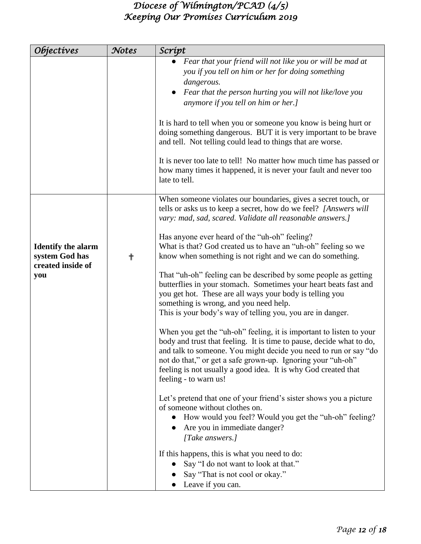| <i><b>Objectives</b></i>                                                | Notes | Scrípt                                                                                                                                                                                                                                                                                                                                                                                                                                                                                                                                                                                                                                                                                                                                                           |
|-------------------------------------------------------------------------|-------|------------------------------------------------------------------------------------------------------------------------------------------------------------------------------------------------------------------------------------------------------------------------------------------------------------------------------------------------------------------------------------------------------------------------------------------------------------------------------------------------------------------------------------------------------------------------------------------------------------------------------------------------------------------------------------------------------------------------------------------------------------------|
|                                                                         |       | • Fear that your friend will not like you or will be mad at<br>you if you tell on him or her for doing something<br>dangerous.<br>Fear that the person hurting you will not like/love you<br>anymore if you tell on him or her.]<br>It is hard to tell when you or someone you know is being hurt or<br>doing something dangerous. BUT it is very important to be brave<br>and tell. Not telling could lead to things that are worse.                                                                                                                                                                                                                                                                                                                            |
|                                                                         |       | It is never too late to tell! No matter how much time has passed or<br>how many times it happened, it is never your fault and never too<br>late to tell.                                                                                                                                                                                                                                                                                                                                                                                                                                                                                                                                                                                                         |
| <b>Identify the alarm</b><br>system God has<br>created inside of<br>you | ╉     | When someone violates our boundaries, gives a secret touch, or<br>tells or asks us to keep a secret, how do we feel? [Answers will<br>vary: mad, sad, scared. Validate all reasonable answers.]<br>Has anyone ever heard of the "uh-oh" feeling?<br>What is that? God created us to have an "uh-oh" feeling so we<br>know when something is not right and we can do something.<br>That "uh-oh" feeling can be described by some people as getting<br>butterflies in your stomach. Sometimes your heart beats fast and<br>you get hot. These are all ways your body is telling you<br>something is wrong, and you need help.<br>This is your body's way of telling you, you are in danger.<br>When you get the "uh-oh" feeling, it is important to listen to your |
|                                                                         |       | body and trust that feeling. It is time to pause, decide what to do,<br>and talk to someone. You might decide you need to run or say "do<br>not do that," or get a safe grown-up. Ignoring your "uh-oh"<br>feeling is not usually a good idea. It is why God created that<br>feeling - to warn us!<br>Let's pretend that one of your friend's sister shows you a picture<br>of someone without clothes on.<br>How would you feel? Would you get the "uh-oh" feeling?<br>Are you in immediate danger?<br>[Take answers.]<br>If this happens, this is what you need to do:<br>Say "I do not want to look at that."<br>Say "That is not cool or okay."<br>Leave if you can.                                                                                         |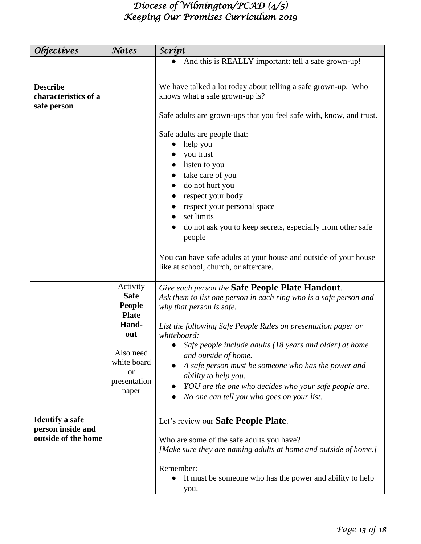| <i><b>Objectives</b></i>                                           | Notes                                                                                                                                      | Scrípt                                                                                                                                                                                                                                                                                                                                                                                                                                                                                                    |
|--------------------------------------------------------------------|--------------------------------------------------------------------------------------------------------------------------------------------|-----------------------------------------------------------------------------------------------------------------------------------------------------------------------------------------------------------------------------------------------------------------------------------------------------------------------------------------------------------------------------------------------------------------------------------------------------------------------------------------------------------|
|                                                                    |                                                                                                                                            | And this is REALLY important: tell a safe grown-up!<br>$\bullet$                                                                                                                                                                                                                                                                                                                                                                                                                                          |
|                                                                    |                                                                                                                                            |                                                                                                                                                                                                                                                                                                                                                                                                                                                                                                           |
| <b>Describe</b><br>characteristics of a<br>safe person             |                                                                                                                                            | We have talked a lot today about telling a safe grown-up. Who<br>knows what a safe grown-up is?<br>Safe adults are grown-ups that you feel safe with, know, and trust.                                                                                                                                                                                                                                                                                                                                    |
|                                                                    |                                                                                                                                            | Safe adults are people that:<br>help you<br>you trust<br>listen to you<br>take care of you<br>do not hurt you<br>respect your body<br>respect your personal space<br>set limits<br>do not ask you to keep secrets, especially from other safe<br>people                                                                                                                                                                                                                                                   |
|                                                                    |                                                                                                                                            | You can have safe adults at your house and outside of your house<br>like at school, church, or aftercare.                                                                                                                                                                                                                                                                                                                                                                                                 |
|                                                                    | Activity<br><b>Safe</b><br><b>People</b><br><b>Plate</b><br>Hand-<br>out<br>Also need<br>white board<br><b>or</b><br>presentation<br>paper | Give each person the Safe People Plate Handout.<br>Ask them to list one person in each ring who is a safe person and<br>why that person is safe.<br>List the following Safe People Rules on presentation paper or<br>whiteboard:<br>Safe people include adults (18 years and older) at home<br>and outside of home.<br>A safe person must be someone who has the power and<br>ability to help you.<br>YOU are the one who decides who your safe people are.<br>No one can tell you who goes on your list. |
| <b>Identify a safe</b><br>person inside and<br>outside of the home |                                                                                                                                            | Let's review our Safe People Plate.<br>Who are some of the safe adults you have?<br>[Make sure they are naming adults at home and outside of home.]                                                                                                                                                                                                                                                                                                                                                       |
|                                                                    |                                                                                                                                            | Remember:<br>It must be someone who has the power and ability to help<br>you.                                                                                                                                                                                                                                                                                                                                                                                                                             |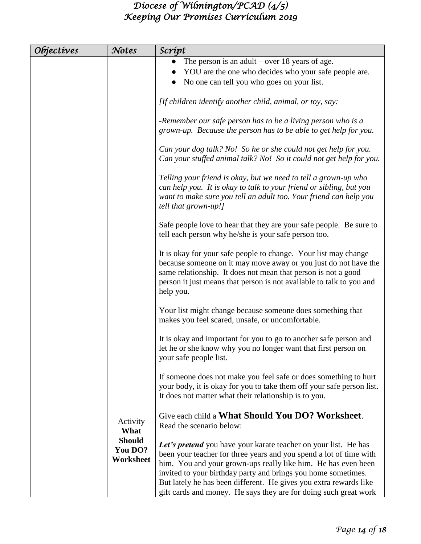| <i><b>Objectives</b></i> | Notes                                 | Scrípt                                                                                                                                                                                                                                                                                                                                                                                                           |
|--------------------------|---------------------------------------|------------------------------------------------------------------------------------------------------------------------------------------------------------------------------------------------------------------------------------------------------------------------------------------------------------------------------------------------------------------------------------------------------------------|
|                          |                                       | The person is an adult – over 18 years of age.<br>YOU are the one who decides who your safe people are.<br>No one can tell you who goes on your list.                                                                                                                                                                                                                                                            |
|                          |                                       | [If children identify another child, animal, or toy, say:                                                                                                                                                                                                                                                                                                                                                        |
|                          |                                       | -Remember our safe person has to be a living person who is a<br>grown-up. Because the person has to be able to get help for you.                                                                                                                                                                                                                                                                                 |
|                          |                                       | Can your dog talk? No! So he or she could not get help for you.<br>Can your stuffed animal talk? No! So it could not get help for you.                                                                                                                                                                                                                                                                           |
|                          |                                       | Telling your friend is okay, but we need to tell a grown-up who<br>can help you. It is okay to talk to your friend or sibling, but you<br>want to make sure you tell an adult too. Your friend can help you<br>tell that grown-up!]                                                                                                                                                                              |
|                          |                                       | Safe people love to hear that they are your safe people. Be sure to<br>tell each person why he/she is your safe person too.                                                                                                                                                                                                                                                                                      |
|                          |                                       | It is okay for your safe people to change. Your list may change<br>because someone on it may move away or you just do not have the<br>same relationship. It does not mean that person is not a good<br>person it just means that person is not available to talk to you and<br>help you.                                                                                                                         |
|                          |                                       | Your list might change because someone does something that<br>makes you feel scared, unsafe, or uncomfortable.                                                                                                                                                                                                                                                                                                   |
|                          |                                       | It is okay and important for you to go to another safe person and<br>let he or she know why you no longer want that first person on<br>your safe people list.                                                                                                                                                                                                                                                    |
|                          |                                       | If someone does not make you feel safe or does something to hurt<br>your body, it is okay for you to take them off your safe person list.<br>It does not matter what their relationship is to you.                                                                                                                                                                                                               |
|                          | Activity<br>What                      | Give each child a What Should You DO? Worksheet.<br>Read the scenario below:                                                                                                                                                                                                                                                                                                                                     |
|                          | <b>Should</b><br>You DO?<br>Worksheet | Let's pretend you have your karate teacher on your list. He has<br>been your teacher for three years and you spend a lot of time with<br>him. You and your grown-ups really like him. He has even been<br>invited to your birthday party and brings you home sometimes.<br>But lately he has been different. He gives you extra rewards like<br>gift cards and money. He says they are for doing such great work |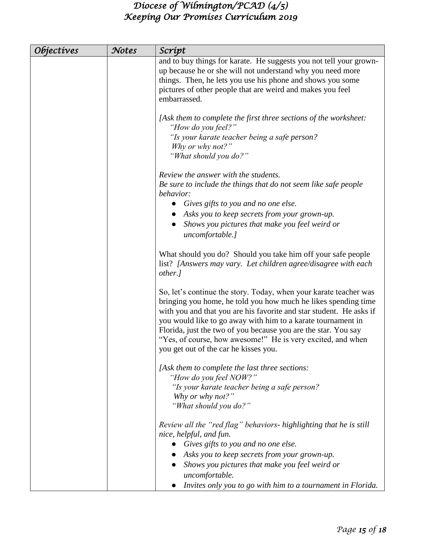| <i><b>Objectives</b></i> | Notes | Scrípt                                                                                                                                                                                                                                                                                                                                                                                                                                               |
|--------------------------|-------|------------------------------------------------------------------------------------------------------------------------------------------------------------------------------------------------------------------------------------------------------------------------------------------------------------------------------------------------------------------------------------------------------------------------------------------------------|
|                          |       | and to buy things for karate. He suggests you not tell your grown-<br>up because he or she will not understand why you need more<br>things. Then, he lets you use his phone and shows you some<br>pictures of other people that are weird and makes you feel<br>embarrassed.                                                                                                                                                                         |
|                          |       | [Ask them to complete the first three sections of the worksheet:<br>"How do you feel?"<br>"Is your karate teacher being a safe person?<br>Why or why not?"<br>"What should you do?"                                                                                                                                                                                                                                                                  |
|                          |       | Review the answer with the students.<br>Be sure to include the things that do not seem like safe people<br>behavior:                                                                                                                                                                                                                                                                                                                                 |
|                          |       | Gives gifts to you and no one else.<br>Asks you to keep secrets from your grown-up.<br>Shows you pictures that make you feel weird or<br>uncomfortable.]                                                                                                                                                                                                                                                                                             |
|                          |       | What should you do? Should you take him off your safe people<br>list? [Answers may vary. Let children agree/disagree with each<br>other.]                                                                                                                                                                                                                                                                                                            |
|                          |       | So, let's continue the story. Today, when your karate teacher was<br>bringing you home, he told you how much he likes spending time<br>with you and that you are his favorite and star student. He asks if<br>you would like to go away with him to a karate tournament in<br>Florida, just the two of you because you are the star. You say<br>"Yes, of course, how awesome!" He is very excited, and when<br>you get out of the car he kisses you. |
|                          |       | [Ask them to complete the last three sections:<br>"How do you feel NOW?"<br>"Is your karate teacher being a safe person?<br>Why or why not?"<br>"What should you do?"                                                                                                                                                                                                                                                                                |
|                          |       | Review all the "red flag" behaviors- highlighting that he is still<br>nice, helpful, and fun.<br>Gives gifts to you and no one else.<br>Asks you to keep secrets from your grown-up.                                                                                                                                                                                                                                                                 |
|                          |       | Shows you pictures that make you feel weird or<br>uncomfortable.<br>Invites only you to go with him to a tournament in Florida.                                                                                                                                                                                                                                                                                                                      |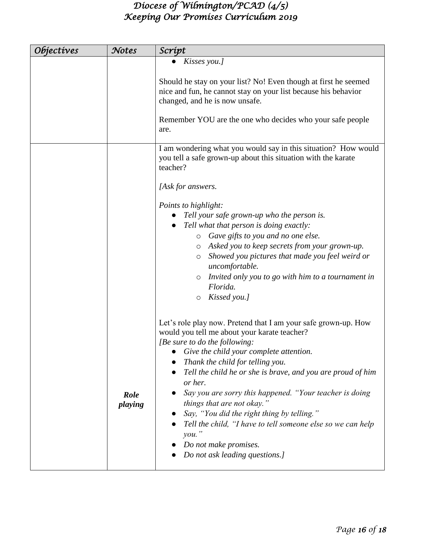| Objectives | Notes           | Scrípt                                                                                                                                                                                                                                                                                                                                                                                                                                                                                                                                                                                |
|------------|-----------------|---------------------------------------------------------------------------------------------------------------------------------------------------------------------------------------------------------------------------------------------------------------------------------------------------------------------------------------------------------------------------------------------------------------------------------------------------------------------------------------------------------------------------------------------------------------------------------------|
|            |                 | Kisses you.]                                                                                                                                                                                                                                                                                                                                                                                                                                                                                                                                                                          |
|            |                 | Should he stay on your list? No! Even though at first he seemed<br>nice and fun, he cannot stay on your list because his behavior<br>changed, and he is now unsafe.<br>Remember YOU are the one who decides who your safe people<br>are.                                                                                                                                                                                                                                                                                                                                              |
|            |                 | I am wondering what you would say in this situation? How would<br>you tell a safe grown-up about this situation with the karate<br>teacher?                                                                                                                                                                                                                                                                                                                                                                                                                                           |
|            |                 | [Ask for answers.<br>Points to highlight:<br>Tell your safe grown-up who the person is.<br>Tell what that person is doing exactly:<br>o Gave gifts to you and no one else.<br>o Asked you to keep secrets from your grown-up.<br>Showed you pictures that made you feel weird or<br>$\circ$<br>uncomfortable.<br>Invited only you to go with him to a tournament in<br>O<br>Florida.<br>Kissed you.]<br>$\circ$                                                                                                                                                                       |
|            | Role<br>playing | Let's role play now. Pretend that I am your safe grown-up. How<br>would you tell me about your karate teacher?<br>[Be sure to do the following:<br>Give the child your complete attention.<br>Thank the child for telling you.<br>Tell the child he or she is brave, and you are proud of him<br>or her.<br>Say you are sorry this happened. "Your teacher is doing<br>things that are not okay."<br>Say, "You did the right thing by telling."<br>Tell the child, "I have to tell someone else so we can help<br>$you.$ "<br>Do not make promises.<br>Do not ask leading questions.] |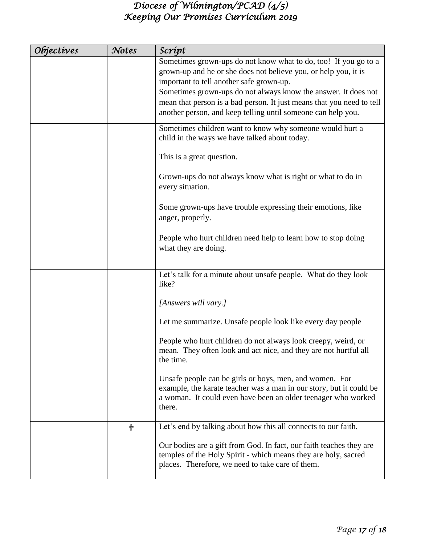| <i><b>Objectives</b></i> | Notes | Scrípt                                                                                                                                                                                                                                                                                                                                                                                    |
|--------------------------|-------|-------------------------------------------------------------------------------------------------------------------------------------------------------------------------------------------------------------------------------------------------------------------------------------------------------------------------------------------------------------------------------------------|
|                          |       | Sometimes grown-ups do not know what to do, too! If you go to a<br>grown-up and he or she does not believe you, or help you, it is<br>important to tell another safe grown-up.<br>Sometimes grown-ups do not always know the answer. It does not<br>mean that person is a bad person. It just means that you need to tell<br>another person, and keep telling until someone can help you. |
|                          |       | Sometimes children want to know why someone would hurt a<br>child in the ways we have talked about today.                                                                                                                                                                                                                                                                                 |
|                          |       | This is a great question.                                                                                                                                                                                                                                                                                                                                                                 |
|                          |       | Grown-ups do not always know what is right or what to do in<br>every situation.                                                                                                                                                                                                                                                                                                           |
|                          |       | Some grown-ups have trouble expressing their emotions, like<br>anger, properly.                                                                                                                                                                                                                                                                                                           |
|                          |       | People who hurt children need help to learn how to stop doing<br>what they are doing.                                                                                                                                                                                                                                                                                                     |
|                          |       | Let's talk for a minute about unsafe people. What do they look<br>like?                                                                                                                                                                                                                                                                                                                   |
|                          |       | [Answers will vary.]                                                                                                                                                                                                                                                                                                                                                                      |
|                          |       | Let me summarize. Unsafe people look like every day people                                                                                                                                                                                                                                                                                                                                |
|                          |       | People who hurt children do not always look creepy, weird, or<br>mean. They often look and act nice, and they are not hurtful all<br>the time.                                                                                                                                                                                                                                            |
|                          |       | Unsafe people can be girls or boys, men, and women. For<br>example, the karate teacher was a man in our story, but it could be<br>a woman. It could even have been an older teenager who worked<br>there.                                                                                                                                                                                 |
|                          | ╬     | Let's end by talking about how this all connects to our faith.                                                                                                                                                                                                                                                                                                                            |
|                          |       | Our bodies are a gift from God. In fact, our faith teaches they are<br>temples of the Holy Spirit - which means they are holy, sacred<br>places. Therefore, we need to take care of them.                                                                                                                                                                                                 |